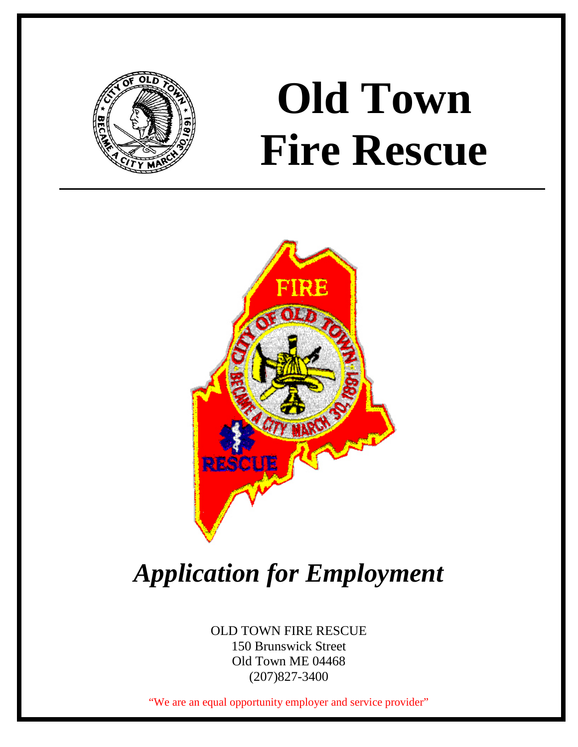

# **Old Town Fire Rescue**



# *Application for Employment*

OLD TOWN FIRE RESCUE 150 Brunswick Street Old Town ME 04468 (207)827-3400

"We are an equal opportunity employer and service provider"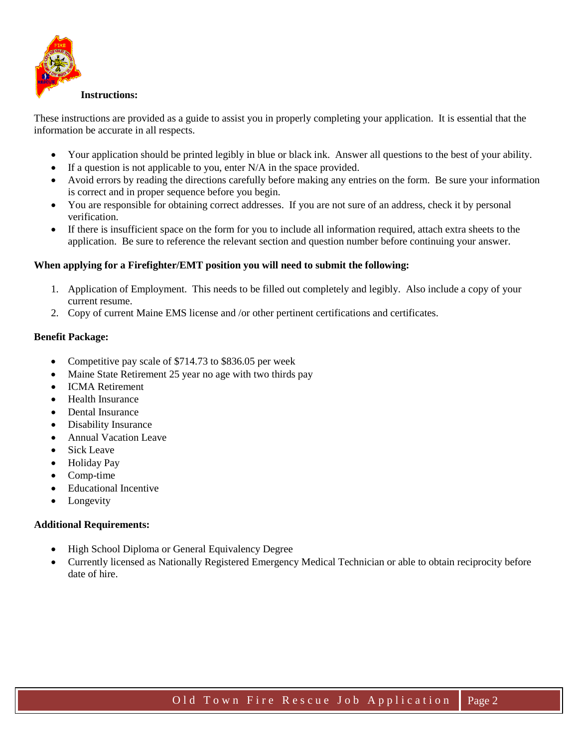

#### **Instructions:**

These instructions are provided as a guide to assist you in properly completing your application. It is essential that the information be accurate in all respects.

- Your application should be printed legibly in blue or black ink. Answer all questions to the best of your ability.
- If a question is not applicable to you, enter  $N/A$  in the space provided.
- Avoid errors by reading the directions carefully before making any entries on the form. Be sure your information is correct and in proper sequence before you begin.
- You are responsible for obtaining correct addresses. If you are not sure of an address, check it by personal verification.
- If there is insufficient space on the form for you to include all information required, attach extra sheets to the application. Be sure to reference the relevant section and question number before continuing your answer.

#### **When applying for a Firefighter/EMT position you will need to submit the following:**

- 1. Application of Employment. This needs to be filled out completely and legibly. Also include a copy of your current resume.
- 2. Copy of current Maine EMS license and /or other pertinent certifications and certificates.

#### **Benefit Package:**

- Competitive pay scale of \$714.73 to \$836.05 per week
- Maine State Retirement 25 year no age with two thirds pay
- ICMA Retirement
- Health Insurance
- Dental Insurance
- Disability Insurance
- Annual Vacation Leave
- Sick Leave
- Holiday Pay
- Comp-time
- Educational Incentive
- **Longevity**

#### **Additional Requirements:**

- High School Diploma or General Equivalency Degree
- Currently licensed as Nationally Registered Emergency Medical Technician or able to obtain reciprocity before date of hire.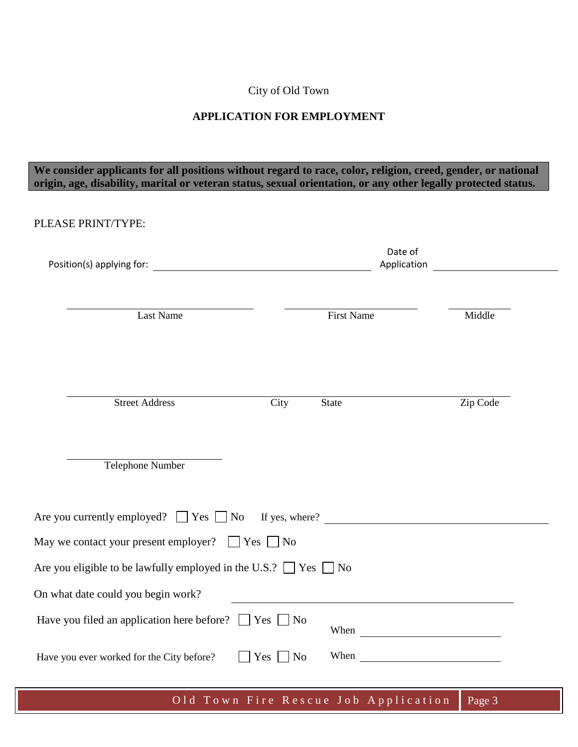# City of Old Town

## **APPLICATION FOR EMPLOYMENT**

## **We consider applicants for all positions without regard to race, color, religion, creed, gender, or national origin, age, disability, marital or veteran status, sexual orientation, or any other legally protected status.**

| PLEASE PRINT/TYPE:                                                         |                              |                   |                        |  |
|----------------------------------------------------------------------------|------------------------------|-------------------|------------------------|--|
|                                                                            |                              |                   | Date of<br>Application |  |
| <b>Last Name</b>                                                           |                              | <b>First Name</b> | Middle                 |  |
| <b>Street Address</b>                                                      | City                         | <b>State</b>      | Zip Code               |  |
| <b>Telephone Number</b>                                                    |                              |                   |                        |  |
| Are you currently employed? $\Box$ Yes $\Box$ No If yes, where? $\Box$     |                              |                   |                        |  |
| May we contact your present employer? $\Box$ Yes $\Box$ No                 |                              |                   |                        |  |
| Are you eligible to be lawfully employed in the U.S.? $\Box$ Yes $\Box$ No |                              |                   |                        |  |
| On what date could you begin work?                                         |                              |                   |                        |  |
| Have you filed an application here before? $\Box$ Yes $\Box$ No            |                              |                   | When                   |  |
| Have you ever worked for the City before?                                  | $Yes \Box$<br>N <sub>o</sub> | When              |                        |  |

Old Town Fire Rescue Job Application Page 3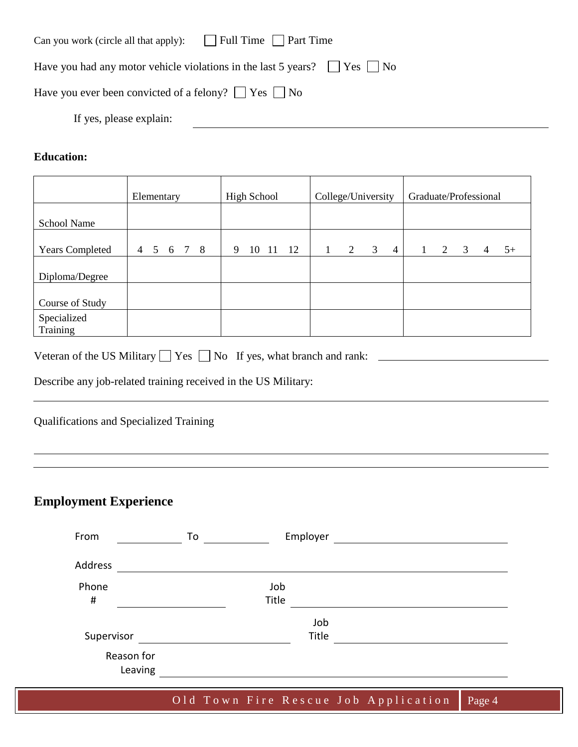| $\Box$ Full Time $\Box$ Part Time<br>Can you work (circle all that apply):          |
|-------------------------------------------------------------------------------------|
| Have you had any motor vehicle violations in the last 5 years? $ $ $ $ Yes $ $   No |
| Have you ever been convicted of a felony? $ $ $ $ Yes $ $ No                        |
| If yes, please explain:                                                             |

# **Education:**

|                         | Elementary                |  | <b>High School</b> |       | College/University |  |   | Graduate/Professional |                |  |   |   |   |      |
|-------------------------|---------------------------|--|--------------------|-------|--------------------|--|---|-----------------------|----------------|--|---|---|---|------|
| <b>School Name</b>      |                           |  |                    |       |                    |  |   |                       |                |  |   |   |   |      |
| <b>Years Completed</b>  | 5 6 7 8<br>$\overline{4}$ |  | 9                  | 10 11 | 12                 |  | 2 | $\overline{3}$        | $\overline{4}$ |  | 2 | 3 | 4 | $5+$ |
| Diploma/Degree          |                           |  |                    |       |                    |  |   |                       |                |  |   |   |   |      |
| Course of Study         |                           |  |                    |       |                    |  |   |                       |                |  |   |   |   |      |
| Specialized<br>Training |                           |  |                    |       |                    |  |   |                       |                |  |   |   |   |      |

| Veteran of the US Military $\Box$ Yes $\Box$ No If yes, what branch and rank: |  |  |  |  |  |
|-------------------------------------------------------------------------------|--|--|--|--|--|
|-------------------------------------------------------------------------------|--|--|--|--|--|

Describe any job-related training received in the US Military:

Qualifications and Specialized Training

# **Employment Experience**

| From       | Employer<br>To |
|------------|----------------|
| Address    |                |
| Phone      | Job            |
| $\sharp$   | Title          |
|            | Job            |
| Supervisor | Title          |
| Reason for |                |
| Leaving    |                |

Old Town Fire Rescue Job Application Page 4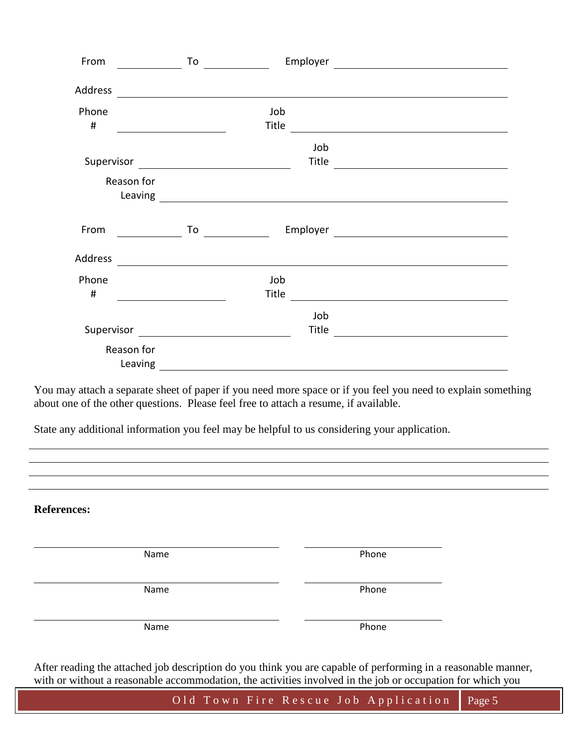| From       |            | To |                                         | Employer                                                                                                             | <u> 1989 - Andrea Brand, Amerikaansk politiker (</u>                                                                   |  |
|------------|------------|----|-----------------------------------------|----------------------------------------------------------------------------------------------------------------------|------------------------------------------------------------------------------------------------------------------------|--|
|            |            |    |                                         |                                                                                                                      |                                                                                                                        |  |
| Address    |            |    |                                         |                                                                                                                      |                                                                                                                        |  |
| Phone      |            |    | Job                                     |                                                                                                                      |                                                                                                                        |  |
| $\sharp$   |            |    | Title                                   |                                                                                                                      |                                                                                                                        |  |
|            |            |    |                                         | Job                                                                                                                  |                                                                                                                        |  |
| Supervisor |            |    | <u> 1989 - Johann Barbara, martin a</u> | Title                                                                                                                | <u> 1989 - Johann Stoff, deutscher Stoffen und der Stoffen und der Stoffen und der Stoffen und der Stoffen und der</u> |  |
|            | Reason for |    |                                         |                                                                                                                      |                                                                                                                        |  |
|            | Leaving    |    |                                         | <u> 1989 - Johann Barnett, fransk kongresu og det for de formanner og det for de formanne og det for de formanne</u> |                                                                                                                        |  |
|            |            |    |                                         |                                                                                                                      |                                                                                                                        |  |
| From       |            | To |                                         | Employer                                                                                                             | <u> 1980 - Andrea Station Barbara (h. 1980)</u>                                                                        |  |
| Address    |            |    |                                         |                                                                                                                      |                                                                                                                        |  |
|            |            |    |                                         |                                                                                                                      |                                                                                                                        |  |
| Phone      |            |    | Job                                     |                                                                                                                      |                                                                                                                        |  |
| #          |            |    | Title                                   |                                                                                                                      |                                                                                                                        |  |
|            |            |    |                                         | Job                                                                                                                  |                                                                                                                        |  |
|            |            |    |                                         | Title                                                                                                                |                                                                                                                        |  |
|            | Reason for |    |                                         |                                                                                                                      |                                                                                                                        |  |
|            | Leaving    |    |                                         |                                                                                                                      |                                                                                                                        |  |

You may attach a separate sheet of paper if you need more space or if you feel you need to explain something about one of the other questions. Please feel free to attach a resume, if available.

State any additional information you feel may be helpful to us considering your application.

**References:**

Name **Name** Phone

Name Phone

Name Phone

After reading the attached job description do you think you are capable of performing in a reasonable manner, with or without a reasonable accommodation, the activities involved in the job or occupation for which you

Old Town Fire Rescue Job Application Page 5